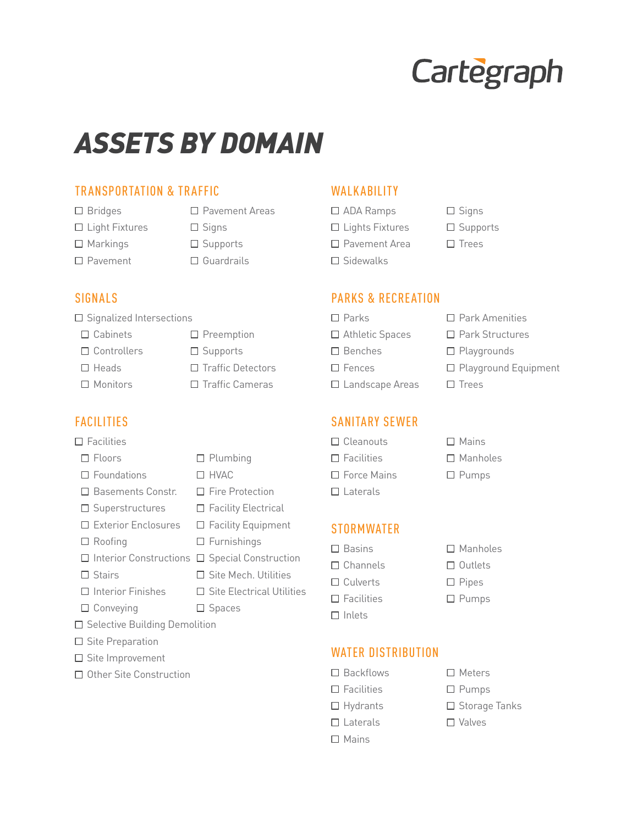# Cartegraph

# *ASSETS BY DOMAIN*

### TRANSPORTATION & TRAFFIC

- □ Bridges
- □ Light Fixtures
- $\Box$  Markings
- □ Pavement
- $\square$  Signs  $\Box$  Supports

□ Pavement Areas

 $\square$  Guardrails

 $\square$  Preemption □ Supports

 $\square$  Traffic Detectors  $\Box$  Traffic Cameras

# WALKABILITY

- □ ADA Ramps  $\square$  Lights Fixtures
- □ Pavement Area
- 
- 
- $\square$  Sidewalks
- $\Box$  Supports
- $\square$  Trees

□ Signs

## SIGNALS

 $\square$  Signalized Intersections

- $\Box$  Cabinets
- □ Controllers
- $\Box$  Heads
- $\Box$  Monitors

## FACILITIES

### $\square$  Facilities

- $\square$  Floors
- $\square$  Foundations
- □ Basements Constr.
- $\square$  Superstructures
- □ Exterior Enclosures
- □ Roofing
- 
- Stairs
- $\Box$  Interior Finishes
- □ Conveying
- $\square$  Selective Building Demolition
- 
- 
- □ Other Site Construction

□ Landscape Areas

# SANITARY SEWER

- □ Cleanouts  $\square$  Facilities
- □ Force Mains
- $\square$  Laterals

### **STORMWATER**

- $\square$  Basins
- □ Channels
- □ Culverts
- $\square$  Facilities
- $\Box$  Inlets

# WATER DISTRIBUTION

- □ Backflows
- $\square$  Facilities
- □ Meters □ Pumps
- □ Storage Tanks
	- □ Valves
- $\square$  Laterals  $\Box$  Mains

□ Mains

- □ Manholes
- □ Outlets
	- $\square$  Pipes
	- □ Pumps

□ Manholes □ Pumps

PARKS & RECREATION  $\Box$  Parks □ Athletic Spaces

□ Benches  $\square$  Fences

- $\Pi$  Park Amenities
	- □ Park Structures
	- □ Playgrounds
	- □ Playground Equipment
	- $\square$  Trees

- - $\square$  Plumbing **D** HVAC
	- □ Fire Protection
	- $\square$  Facility Electrical
	- $\square$  Facility Equipment
	- $\square$  Furnishings
- Interior Constructions □ Special Construction
	-
	- $\square$  Site Electrical Utilities
	- $\square$  Spaces

- Site Mech. Utilities
- 
- 

- 
- 

- 
- $\square$  Site Preparation

### □ Site Improvement

- 
- 
- - -
		- $\Box$  Hydrants
- 
-